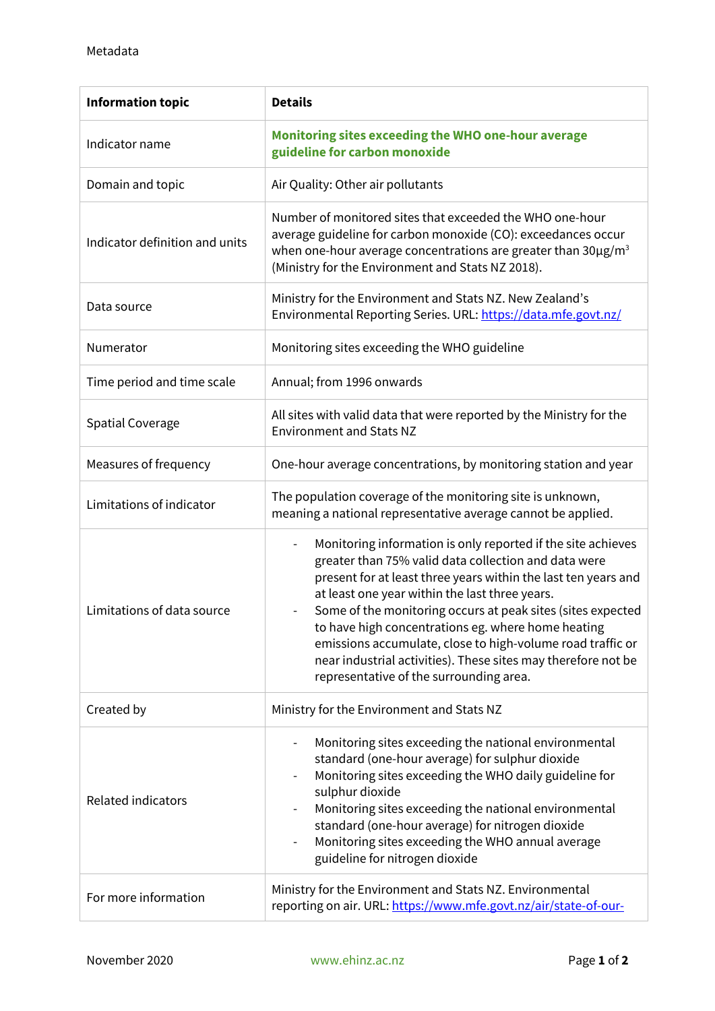| <b>Information topic</b>       | <b>Details</b>                                                                                                                                                                                                                                                                                                                                                                                                                                                                                                                                                      |
|--------------------------------|---------------------------------------------------------------------------------------------------------------------------------------------------------------------------------------------------------------------------------------------------------------------------------------------------------------------------------------------------------------------------------------------------------------------------------------------------------------------------------------------------------------------------------------------------------------------|
| Indicator name                 | Monitoring sites exceeding the WHO one-hour average<br>guideline for carbon monoxide                                                                                                                                                                                                                                                                                                                                                                                                                                                                                |
| Domain and topic               | Air Quality: Other air pollutants                                                                                                                                                                                                                                                                                                                                                                                                                                                                                                                                   |
| Indicator definition and units | Number of monitored sites that exceeded the WHO one-hour<br>average guideline for carbon monoxide (CO): exceedances occur<br>when one-hour average concentrations are greater than 30µg/m <sup>3</sup><br>(Ministry for the Environment and Stats NZ 2018).                                                                                                                                                                                                                                                                                                         |
| Data source                    | Ministry for the Environment and Stats NZ. New Zealand's<br>Environmental Reporting Series. URL: https://data.mfe.govt.nz/                                                                                                                                                                                                                                                                                                                                                                                                                                          |
| Numerator                      | Monitoring sites exceeding the WHO guideline                                                                                                                                                                                                                                                                                                                                                                                                                                                                                                                        |
| Time period and time scale     | Annual; from 1996 onwards                                                                                                                                                                                                                                                                                                                                                                                                                                                                                                                                           |
| <b>Spatial Coverage</b>        | All sites with valid data that were reported by the Ministry for the<br><b>Environment and Stats NZ</b>                                                                                                                                                                                                                                                                                                                                                                                                                                                             |
| Measures of frequency          | One-hour average concentrations, by monitoring station and year                                                                                                                                                                                                                                                                                                                                                                                                                                                                                                     |
| Limitations of indicator       | The population coverage of the monitoring site is unknown,<br>meaning a national representative average cannot be applied.                                                                                                                                                                                                                                                                                                                                                                                                                                          |
| Limitations of data source     | Monitoring information is only reported if the site achieves<br>$\overline{\phantom{0}}$<br>greater than 75% valid data collection and data were<br>present for at least three years within the last ten years and<br>at least one year within the last three years.<br>Some of the monitoring occurs at peak sites (sites expected<br>to have high concentrations eg. where home heating<br>emissions accumulate, close to high-volume road traffic or<br>near industrial activities). These sites may therefore not be<br>representative of the surrounding area. |
| Created by                     | Ministry for the Environment and Stats NZ                                                                                                                                                                                                                                                                                                                                                                                                                                                                                                                           |
| <b>Related indicators</b>      | Monitoring sites exceeding the national environmental<br>$\overline{\phantom{a}}$<br>standard (one-hour average) for sulphur dioxide<br>Monitoring sites exceeding the WHO daily guideline for<br>sulphur dioxide<br>Monitoring sites exceeding the national environmental<br>standard (one-hour average) for nitrogen dioxide<br>Monitoring sites exceeding the WHO annual average<br>$\overline{\phantom{a}}$<br>guideline for nitrogen dioxide                                                                                                                   |
| For more information           | Ministry for the Environment and Stats NZ. Environmental<br>reporting on air. URL: https://www.mfe.govt.nz/air/state-of-our-                                                                                                                                                                                                                                                                                                                                                                                                                                        |